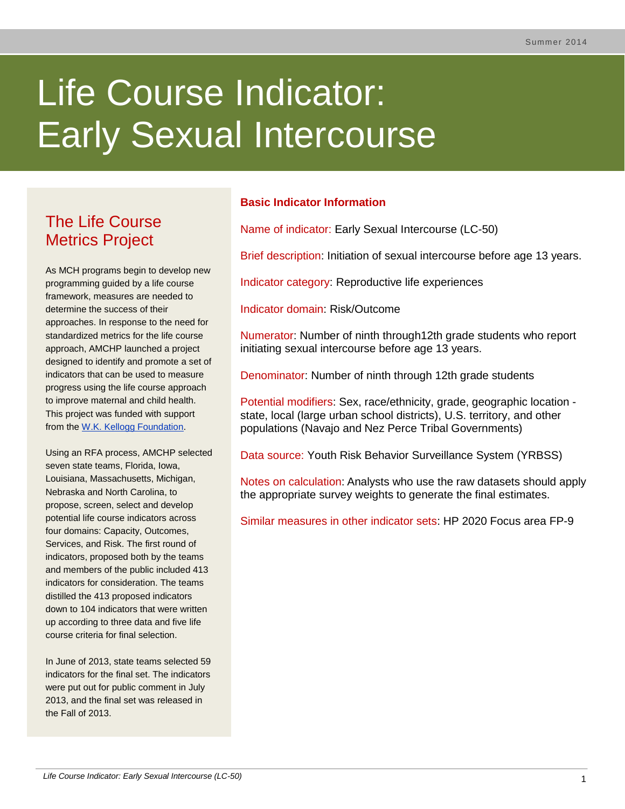# Life Course Indicator: Early Sexual Intercourse

# The Life Course Metrics Project

As MCH programs begin to develop new programming guided by a life course framework, measures are needed to determine the success of their approaches. In response to the need for standardized metrics for the life course approach, AMCHP launched a project designed to identify and promote a set of indicators that can be used to measure progress using the life course approach to improve maternal and child health. This project was funded with support from the [W.K. Kellogg Foundation.](http://www.wkkf.org/)

Using an RFA process, AMCHP selected seven state teams, Florida, Iowa, Louisiana, Massachusetts, Michigan, Nebraska and North Carolina, to propose, screen, select and develop potential life course indicators across four domains: Capacity, Outcomes, Services, and Risk. The first round of indicators, proposed both by the teams and members of the public included 413 indicators for consideration. The teams distilled the 413 proposed indicators down to 104 indicators that were written up according to three data and five life course criteria for final selection.

In June of 2013, state teams selected 59 indicators for the final set. The indicators were put out for public comment in July 2013, and the final set was released in the Fall of 2013.

# **Basic Indicator Information**

Name of indicator: Early Sexual Intercourse (LC-50)

Brief description: Initiation of sexual intercourse before age 13 years.

Indicator category: Reproductive life experiences

Indicator domain: Risk/Outcome

Numerator: Number of ninth through12th grade students who report initiating sexual intercourse before age 13 years.

Denominator: Number of ninth through 12th grade students

Potential modifiers: Sex, race/ethnicity, grade, geographic location state, local (large urban school districts), U.S. territory, and other populations (Navajo and Nez Perce Tribal Governments)

Data source: Youth Risk Behavior Surveillance System (YRBSS)

Notes on calculation: Analysts who use the raw datasets should apply the appropriate survey weights to generate the final estimates.

Similar measures in other indicator sets: HP 2020 Focus area FP-9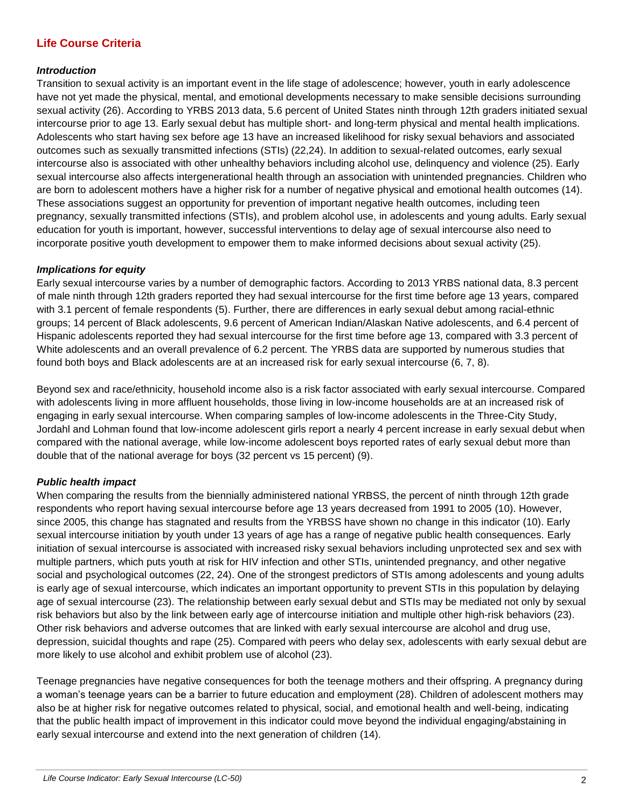# **Life Course Criteria**

#### *Introduction*

Transition to sexual activity is an important event in the life stage of adolescence; however, youth in early adolescence have not yet made the physical, mental, and emotional developments necessary to make sensible decisions surrounding sexual activity (26). According to YRBS 2013 data, 5.6 percent of United States ninth through 12th graders initiated sexual intercourse prior to age 13. Early sexual debut has multiple short- and long-term physical and mental health implications. Adolescents who start having sex before age 13 have an increased likelihood for risky sexual behaviors and associated outcomes such as sexually transmitted infections (STIs) (22,24). In addition to sexual-related outcomes, early sexual intercourse also is associated with other unhealthy behaviors including alcohol use, delinquency and violence (25). Early sexual intercourse also affects intergenerational health through an association with unintended pregnancies. Children who are born to adolescent mothers have a higher risk for a number of negative physical and emotional health outcomes (14). These associations suggest an opportunity for prevention of important negative health outcomes, including teen pregnancy, sexually transmitted infections (STIs), and problem alcohol use, in adolescents and young adults. Early sexual education for youth is important, however, successful interventions to delay age of sexual intercourse also need to incorporate positive youth development to empower them to make informed decisions about sexual activity (25).

#### *Implications for equity*

Early sexual intercourse varies by a number of demographic factors. According to 2013 YRBS national data, 8.3 percent of male ninth through 12th graders reported they had sexual intercourse for the first time before age 13 years, compared with 3.1 percent of female respondents (5). Further, there are differences in early sexual debut among racial-ethnic groups; 14 percent of Black adolescents, 9.6 percent of American Indian/Alaskan Native adolescents, and 6.4 percent of Hispanic adolescents reported they had sexual intercourse for the first time before age 13, compared with 3.3 percent of White adolescents and an overall prevalence of 6.2 percent. The YRBS data are supported by numerous studies that found both boys and Black adolescents are at an increased risk for early sexual intercourse (6, 7, 8).

Beyond sex and race/ethnicity, household income also is a risk factor associated with early sexual intercourse. Compared with adolescents living in more affluent households, those living in low-income households are at an increased risk of engaging in early sexual intercourse. When comparing samples of low-income adolescents in the Three-City Study, Jordahl and Lohman found that low-income adolescent girls report a nearly 4 percent increase in early sexual debut when compared with the national average, while low-income adolescent boys reported rates of early sexual debut more than double that of the national average for boys (32 percent vs 15 percent) (9).

#### *Public health impact*

When comparing the results from the biennially administered national YRBSS, the percent of ninth through 12th grade respondents who report having sexual intercourse before age 13 years decreased from 1991 to 2005 (10). However, since 2005, this change has stagnated and results from the YRBSS have shown no change in this indicator (10). Early sexual intercourse initiation by youth under 13 years of age has a range of negative public health consequences. Early initiation of sexual intercourse is associated with increased risky sexual behaviors including unprotected sex and sex with multiple partners, which puts youth at risk for HIV infection and other STIs, unintended pregnancy, and other negative social and psychological outcomes (22, 24). One of the strongest predictors of STIs among adolescents and young adults is early age of sexual intercourse, which indicates an important opportunity to prevent STIs in this population by delaying age of sexual intercourse (23). The relationship between early sexual debut and STIs may be mediated not only by sexual risk behaviors but also by the link between early age of intercourse initiation and multiple other high-risk behaviors (23). Other risk behaviors and adverse outcomes that are linked with early sexual intercourse are alcohol and drug use, depression, suicidal thoughts and rape (25). Compared with peers who delay sex, adolescents with early sexual debut are more likely to use alcohol and exhibit problem use of alcohol (23).

Teenage pregnancies have negative consequences for both the teenage mothers and their offspring. A pregnancy during a woman's teenage years can be a barrier to future education and employment (28). Children of adolescent mothers may also be at higher risk for negative outcomes related to physical, social, and emotional health and well-being, indicating that the public health impact of improvement in this indicator could move beyond the individual engaging/abstaining in early sexual intercourse and extend into the next generation of children (14).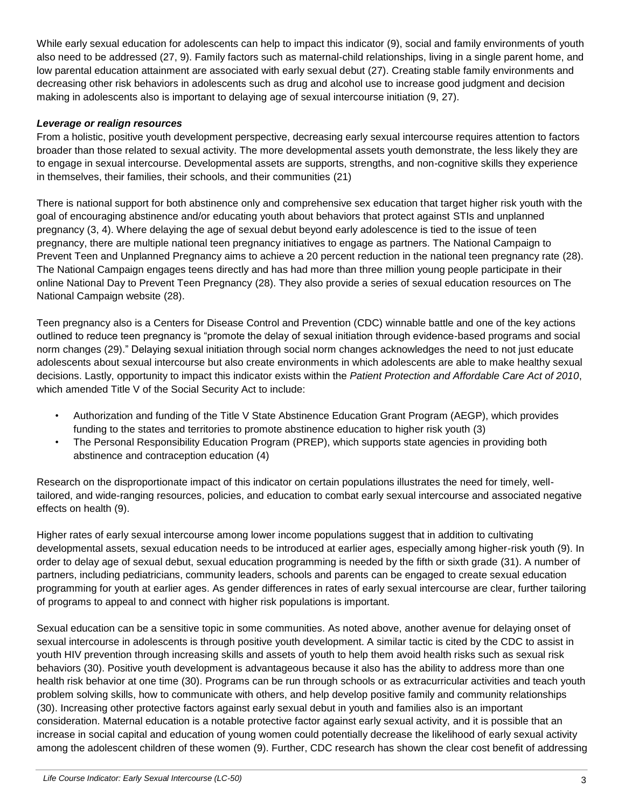While early sexual education for adolescents can help to impact this indicator (9), social and family environments of youth also need to be addressed (27, 9). Family factors such as maternal-child relationships, living in a single parent home, and low parental education attainment are associated with early sexual debut (27). Creating stable family environments and decreasing other risk behaviors in adolescents such as drug and alcohol use to increase good judgment and decision making in adolescents also is important to delaying age of sexual intercourse initiation (9, 27).

# *Leverage or realign resources*

From a holistic, positive youth development perspective, decreasing early sexual intercourse requires attention to factors broader than those related to sexual activity. The more developmental assets youth demonstrate, the less likely they are to engage in sexual intercourse. Developmental assets are supports, strengths, and non-cognitive skills they experience in themselves, their families, their schools, and their communities (21)

There is national support for both abstinence only and comprehensive sex education that target higher risk youth with the goal of encouraging abstinence and/or educating youth about behaviors that protect against STIs and unplanned pregnancy (3, 4). Where delaying the age of sexual debut beyond early adolescence is tied to the issue of teen pregnancy, there are multiple national teen pregnancy initiatives to engage as partners. The National Campaign to Prevent Teen and Unplanned Pregnancy aims to achieve a 20 percent reduction in the national teen pregnancy rate (28). The National Campaign engages teens directly and has had more than three million young people participate in their online National Day to Prevent Teen Pregnancy (28). They also provide a series of sexual education resources on The National Campaign website (28).

Teen pregnancy also is a Centers for Disease Control and Prevention (CDC) winnable battle and one of the key actions outlined to reduce teen pregnancy is "promote the delay of sexual initiation through evidence-based programs and social norm changes (29)." Delaying sexual initiation through social norm changes acknowledges the need to not just educate adolescents about sexual intercourse but also create environments in which adolescents are able to make healthy sexual decisions. Lastly, opportunity to impact this indicator exists within the *Patient Protection and Affordable Care Act of 2010*, which amended Title V of the Social Security Act to include:

- Authorization and funding of the Title V State Abstinence Education Grant Program (AEGP), which provides funding to the states and territories to promote abstinence education to higher risk youth (3)
- The Personal Responsibility Education Program (PREP), which supports state agencies in providing both abstinence and contraception education (4)

Research on the disproportionate impact of this indicator on certain populations illustrates the need for timely, welltailored, and wide-ranging resources, policies, and education to combat early sexual intercourse and associated negative effects on health (9).

Higher rates of early sexual intercourse among lower income populations suggest that in addition to cultivating developmental assets, sexual education needs to be introduced at earlier ages, especially among higher-risk youth (9). In order to delay age of sexual debut, sexual education programming is needed by the fifth or sixth grade (31). A number of partners, including pediatricians, community leaders, schools and parents can be engaged to create sexual education programming for youth at earlier ages. As gender differences in rates of early sexual intercourse are clear, further tailoring of programs to appeal to and connect with higher risk populations is important.

Sexual education can be a sensitive topic in some communities. As noted above, another avenue for delaying onset of sexual intercourse in adolescents is through positive youth development. A similar tactic is cited by the CDC to assist in youth HIV prevention through increasing skills and assets of youth to help them avoid health risks such as sexual risk behaviors (30). Positive youth development is advantageous because it also has the ability to address more than one health risk behavior at one time (30). Programs can be run through schools or as extracurricular activities and teach youth problem solving skills, how to communicate with others, and help develop positive family and community relationships (30). Increasing other protective factors against early sexual debut in youth and families also is an important consideration. Maternal education is a notable protective factor against early sexual activity, and it is possible that an increase in social capital and education of young women could potentially decrease the likelihood of early sexual activity among the adolescent children of these women (9). Further, CDC research has shown the clear cost benefit of addressing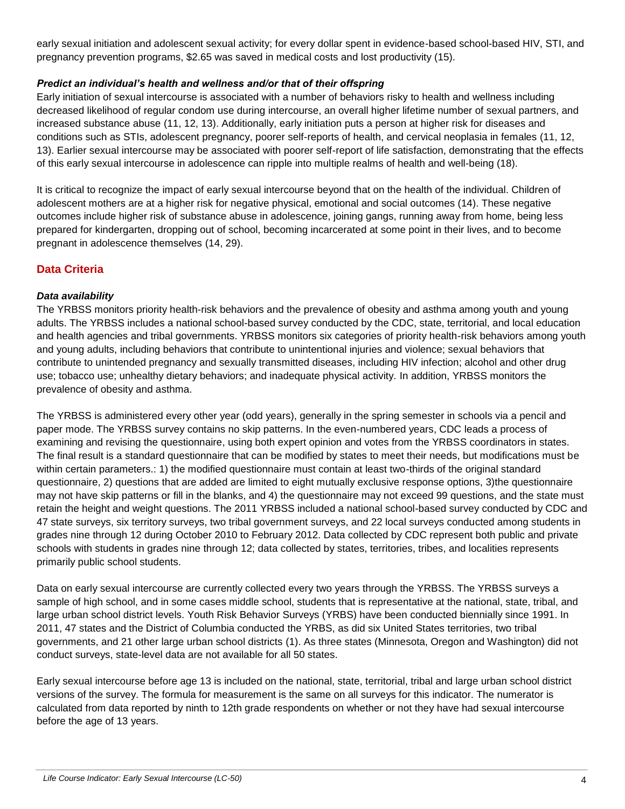early sexual initiation and adolescent sexual activity; for every dollar spent in evidence-based school-based HIV, STI, and pregnancy prevention programs, \$2.65 was saved in medical costs and lost productivity (15).

# *Predict an individual's health and wellness and/or that of their offspring*

Early initiation of sexual intercourse is associated with a number of behaviors risky to health and wellness including decreased likelihood of regular condom use during intercourse, an overall higher lifetime number of sexual partners, and increased substance abuse (11, 12, 13). Additionally, early initiation puts a person at higher risk for diseases and conditions such as STIs, adolescent pregnancy, poorer self-reports of health, and cervical neoplasia in females (11, 12, 13). Earlier sexual intercourse may be associated with poorer self-report of life satisfaction, demonstrating that the effects of this early sexual intercourse in adolescence can ripple into multiple realms of health and well-being (18).

It is critical to recognize the impact of early sexual intercourse beyond that on the health of the individual. Children of adolescent mothers are at a higher risk for negative physical, emotional and social outcomes (14). These negative outcomes include higher risk of substance abuse in adolescence, joining gangs, running away from home, being less prepared for kindergarten, dropping out of school, becoming incarcerated at some point in their lives, and to become pregnant in adolescence themselves (14, 29).

# **Data Criteria**

# *Data availability*

The YRBSS monitors priority health-risk behaviors and the prevalence of obesity and asthma among youth and young adults. The YRBSS includes a national school-based survey conducted by the CDC, state, territorial, and local education and health agencies and tribal governments. YRBSS monitors six categories of priority health-risk behaviors among youth and young adults, including behaviors that contribute to unintentional injuries and violence; sexual behaviors that contribute to unintended pregnancy and sexually transmitted diseases, including HIV infection; alcohol and other drug use; tobacco use; unhealthy dietary behaviors; and inadequate physical activity. In addition, YRBSS monitors the prevalence of obesity and asthma.

The YRBSS is administered every other year (odd years), generally in the spring semester in schools via a pencil and paper mode. The YRBSS survey contains no skip patterns. In the even-numbered years, CDC leads a process of examining and revising the questionnaire, using both expert opinion and votes from the YRBSS coordinators in states. The final result is a standard questionnaire that can be modified by states to meet their needs, but modifications must be within certain parameters.: 1) the modified questionnaire must contain at least two-thirds of the original standard questionnaire, 2) questions that are added are limited to eight mutually exclusive response options, 3)the questionnaire may not have skip patterns or fill in the blanks, and 4) the questionnaire may not exceed 99 questions, and the state must retain the height and weight questions. The 2011 YRBSS included a national school-based survey conducted by CDC and 47 state surveys, six territory surveys, two tribal government surveys, and 22 local surveys conducted among students in grades nine through 12 during October 2010 to February 2012. Data collected by CDC represent both public and private schools with students in grades nine through 12; data collected by states, territories, tribes, and localities represents primarily public school students.

Data on early sexual intercourse are currently collected every two years through the YRBSS. The YRBSS surveys a sample of high school, and in some cases middle school, students that is representative at the national, state, tribal, and large urban school district levels. Youth Risk Behavior Surveys (YRBS) have been conducted biennially since 1991. In 2011, 47 states and the District of Columbia conducted the YRBS, as did six United States territories, two tribal governments, and 21 other large urban school districts (1). As three states (Minnesota, Oregon and Washington) did not conduct surveys, state-level data are not available for all 50 states.

Early sexual intercourse before age 13 is included on the national, state, territorial, tribal and large urban school district versions of the survey. The formula for measurement is the same on all surveys for this indicator. The numerator is calculated from data reported by ninth to 12th grade respondents on whether or not they have had sexual intercourse before the age of 13 years.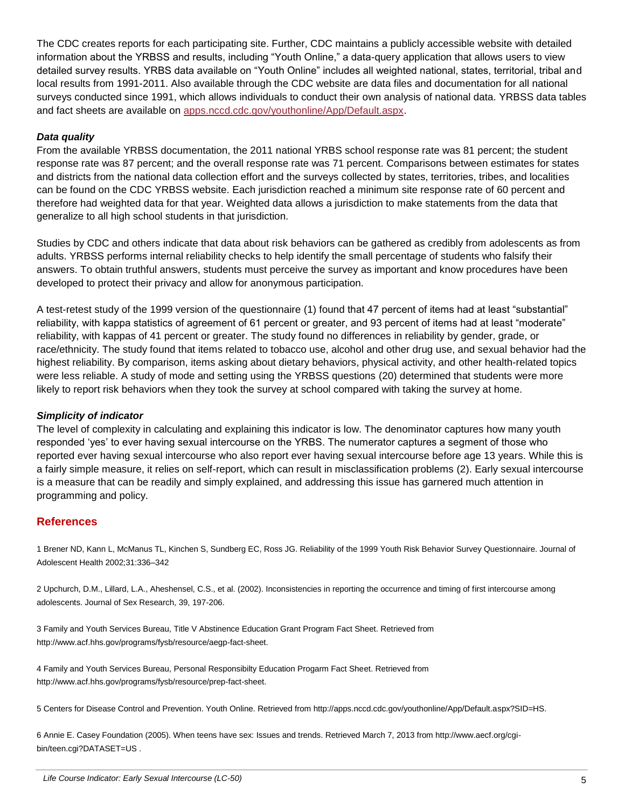The CDC creates reports for each participating site. Further, CDC maintains a publicly accessible website with detailed information about the YRBSS and results, including "Youth Online," a data-query application that allows users to view detailed survey results. YRBS data available on "Youth Online" includes all weighted national, states, territorial, tribal and local results from 1991-2011. Also available through the CDC website are data files and documentation for all national surveys conducted since 1991, which allows individuals to conduct their own analysis of national data. YRBSS data tables and fact sheets are available on [apps.nccd.cdc.gov/youthonline/App/Default.aspx.](http://apps.nccd.cdc.gov/youthonline/App/Default.aspx)

#### *Data quality*

From the available YRBSS documentation, the 2011 national YRBS school response rate was 81 percent; the student response rate was 87 percent; and the overall response rate was 71 percent. Comparisons between estimates for states and districts from the national data collection effort and the surveys collected by states, territories, tribes, and localities can be found on the CDC YRBSS website. Each jurisdiction reached a minimum site response rate of 60 percent and therefore had weighted data for that year. Weighted data allows a jurisdiction to make statements from the data that generalize to all high school students in that jurisdiction.

Studies by CDC and others indicate that data about risk behaviors can be gathered as credibly from adolescents as from adults. YRBSS performs internal reliability checks to help identify the small percentage of students who falsify their answers. To obtain truthful answers, students must perceive the survey as important and know procedures have been developed to protect their privacy and allow for anonymous participation.

A test-retest study of the 1999 version of the questionnaire (1) found that 47 percent of items had at least "substantial" reliability, with kappa statistics of agreement of 61 percent or greater, and 93 percent of items had at least "moderate" reliability, with kappas of 41 percent or greater. The study found no differences in reliability by gender, grade, or race/ethnicity. The study found that items related to tobacco use, alcohol and other drug use, and sexual behavior had the highest reliability. By comparison, items asking about dietary behaviors, physical activity, and other health-related topics were less reliable. A study of mode and setting using the YRBSS questions (20) determined that students were more likely to report risk behaviors when they took the survey at school compared with taking the survey at home.

#### *Simplicity of indicator*

The level of complexity in calculating and explaining this indicator is low. The denominator captures how many youth responded 'yes' to ever having sexual intercourse on the YRBS. The numerator captures a segment of those who reported ever having sexual intercourse who also report ever having sexual intercourse before age 13 years. While this is a fairly simple measure, it relies on self-report, which can result in misclassification problems (2). Early sexual intercourse is a measure that can be readily and simply explained, and addressing this issue has garnered much attention in programming and policy.

#### **References**

1 Brener ND, Kann L, McManus TL, Kinchen S, Sundberg EC, Ross JG. Reliability of the 1999 Youth Risk Behavior Survey Questionnaire. Journal of Adolescent Health 2002;31:336–342

2 Upchurch, D.M., Lillard, L.A., Aheshensel, C.S., et al. (2002). Inconsistencies in reporting the occurrence and timing of first intercourse among adolescents. Journal of Sex Research, 39, 197-206.

3 Family and Youth Services Bureau, Title V Abstinence Education Grant Program Fact Sheet. Retrieved from http://www.acf.hhs.gov/programs/fysb/resource/aegp-fact-sheet.

4 Family and Youth Services Bureau, Personal Responsibilty Education Progarm Fact Sheet. Retrieved from http://www.acf.hhs.gov/programs/fysb/resource/prep-fact-sheet.

5 Centers for Disease Control and Prevention. Youth Online. Retrieved from http://apps.nccd.cdc.gov/youthonline/App/Default.aspx?SID=HS.

6 Annie E. Casey Foundation (2005). When teens have sex: Issues and trends. Retrieved March 7, 2013 from http://www.aecf.org/cgibin/teen.cgi?DATASET=US.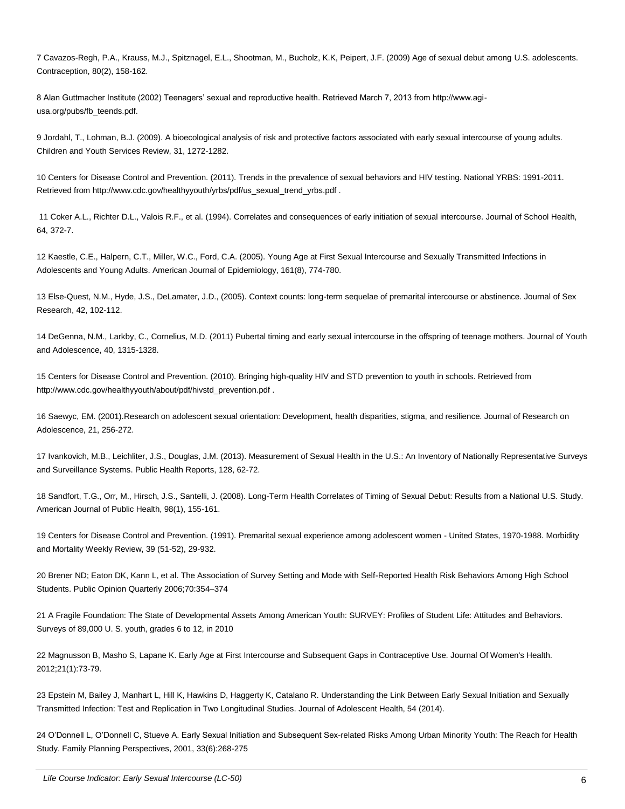7 Cavazos-Regh, P.A., Krauss, M.J., Spitznagel, E.L., Shootman, M., Bucholz, K.K, Peipert, J.F. (2009) Age of sexual debut among U.S. adolescents. Contraception, 80(2), 158-162.

8 Alan Guttmacher Institute (2002) Teenagers' sexual and reproductive health. Retrieved March 7, 2013 from http://www.agiusa.org/pubs/fb\_teends.pdf.

9 Jordahl, T., Lohman, B.J. (2009). A bioecological analysis of risk and protective factors associated with early sexual intercourse of young adults. Children and Youth Services Review, 31, 1272-1282.

10 Centers for Disease Control and Prevention. (2011). Trends in the prevalence of sexual behaviors and HIV testing. National YRBS: 1991-2011. Retrieved from http://www.cdc.gov/healthyyouth/yrbs/pdf/us\_sexual\_trend\_yrbs.pdf .

11 Coker A.L., Richter D.L., Valois R.F., et al. (1994). Correlates and consequences of early initiation of sexual intercourse. Journal of School Health, 64, 372-7.

12 Kaestle, C.E., Halpern, C.T., Miller, W.C., Ford, C.A. (2005). Young Age at First Sexual Intercourse and Sexually Transmitted Infections in Adolescents and Young Adults. American Journal of Epidemiology, 161(8), 774-780.

13 Else-Quest, N.M., Hyde, J.S., DeLamater, J.D., (2005). Context counts: long-term sequelae of premarital intercourse or abstinence. Journal of Sex Research, 42, 102-112.

14 DeGenna, N.M., Larkby, C., Cornelius, M.D. (2011) Pubertal timing and early sexual intercourse in the offspring of teenage mothers. Journal of Youth and Adolescence, 40, 1315-1328.

15 Centers for Disease Control and Prevention. (2010). Bringing high-quality HIV and STD prevention to youth in schools. Retrieved from http://www.cdc.gov/healthyyouth/about/pdf/hivstd\_prevention.pdf .

16 Saewyc, EM. (2001).Research on adolescent sexual orientation: Development, health disparities, stigma, and resilience. Journal of Research on Adolescence, 21, 256-272.

17 Ivankovich, M.B., Leichliter, J.S., Douglas, J.M. (2013). Measurement of Sexual Health in the U.S.: An Inventory of Nationally Representative Surveys and Surveillance Systems. Public Health Reports, 128, 62-72.

18 Sandfort, T.G., Orr, M., Hirsch, J.S., Santelli, J. (2008). Long-Term Health Correlates of Timing of Sexual Debut: Results from a National U.S. Study. American Journal of Public Health, 98(1), 155-161.

19 Centers for Disease Control and Prevention. (1991). Premarital sexual experience among adolescent women - United States, 1970-1988. Morbidity and Mortality Weekly Review, 39 (51-52), 29-932.

20 Brener ND; Eaton DK, Kann L, et al. The Association of Survey Setting and Mode with Self-Reported Health Risk Behaviors Among High School Students. Public Opinion Quarterly 2006;70:354–374

21 A Fragile Foundation: The State of Developmental Assets Among American Youth: SURVEY: Profiles of Student Life: Attitudes and Behaviors. Surveys of 89,000 U. S. youth, grades 6 to 12, in 2010

22 Magnusson B, Masho S, Lapane K. Early Age at First Intercourse and Subsequent Gaps in Contraceptive Use. Journal Of Women's Health. 2012;21(1):73-79.

23 Epstein M, Bailey J, Manhart L, Hill K, Hawkins D, Haggerty K, Catalano R. Understanding the Link Between Early Sexual Initiation and Sexually Transmitted Infection: Test and Replication in Two Longitudinal Studies. Journal of Adolescent Health, 54 (2014).

24 O'Donnell L, O'Donnell C, Stueve A. Early Sexual Initiation and Subsequent Sex-related Risks Among Urban Minority Youth: The Reach for Health Study. Family Planning Perspectives, 2001, 33(6):268-275